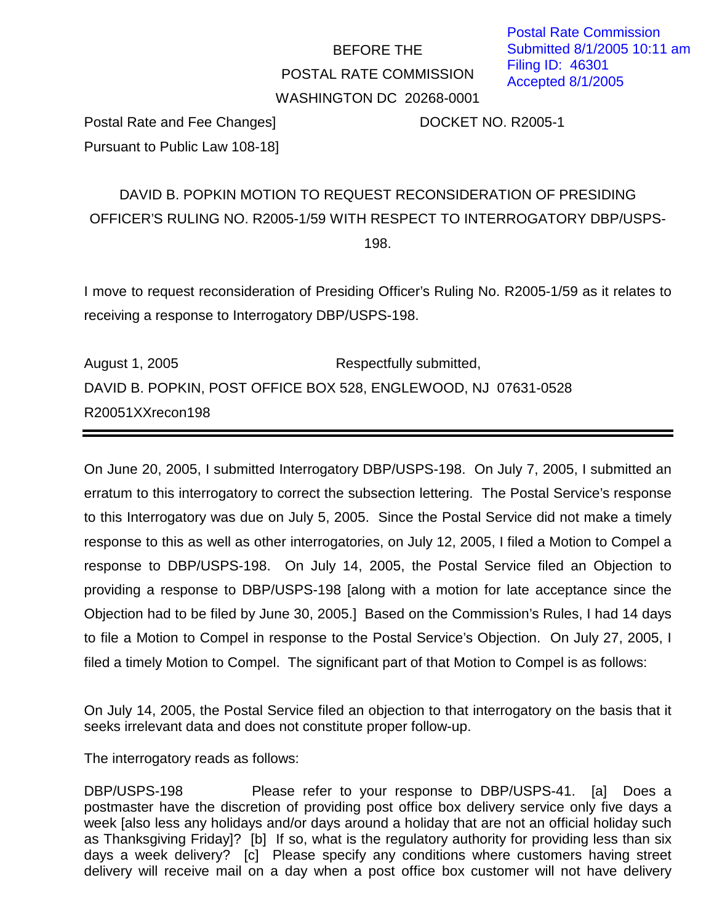## BEFORE THE POSTAL RATE COMMISSION WASHINGTON DC 20268-0001

Postal Rate and Fee Changes] DOCKET NO. R2005-1 Pursuant to Public Law 108-18]

## DAVID B. POPKIN MOTION TO REQUEST RECONSIDERATION OF PRESIDING OFFICER'S RULING NO. R2005-1/59 WITH RESPECT TO INTERROGATORY DBP/USPS-198.

I move to request reconsideration of Presiding Officer's Ruling No. R2005-1/59 as it relates to receiving a response to Interrogatory DBP/USPS-198.

August 1, 2005 **Respectfully submitted**, DAVID B. POPKIN, POST OFFICE BOX 528, ENGLEWOOD, NJ 07631-0528 R20051XXrecon198

On June 20, 2005, I submitted Interrogatory DBP/USPS-198. On July 7, 2005, I submitted an erratum to this interrogatory to correct the subsection lettering. The Postal Service's response to this Interrogatory was due on July 5, 2005. Since the Postal Service did not make a timely response to this as well as other interrogatories, on July 12, 2005, I filed a Motion to Compel a response to DBP/USPS-198. On July 14, 2005, the Postal Service filed an Objection to providing a response to DBP/USPS-198 [along with a motion for late acceptance since the Objection had to be filed by June 30, 2005.] Based on the Commission's Rules, I had 14 days to file a Motion to Compel in response to the Postal Service's Objection. On July 27, 2005, I filed a timely Motion to Compel. The significant part of that Motion to Compel is as follows:

On July 14, 2005, the Postal Service filed an objection to that interrogatory on the basis that it seeks irrelevant data and does not constitute proper follow-up.

The interrogatory reads as follows:

DBP/USPS-198 Please refer to your response to DBP/USPS-41. [a] Does a postmaster have the discretion of providing post office box delivery service only five days a week [also less any holidays and/or days around a holiday that are not an official holiday such as Thanksgiving Friday]? [b] If so, what is the regulatory authority for providing less than six days a week delivery? [c] Please specify any conditions where customers having street delivery will receive mail on a day when a post office box customer will not have delivery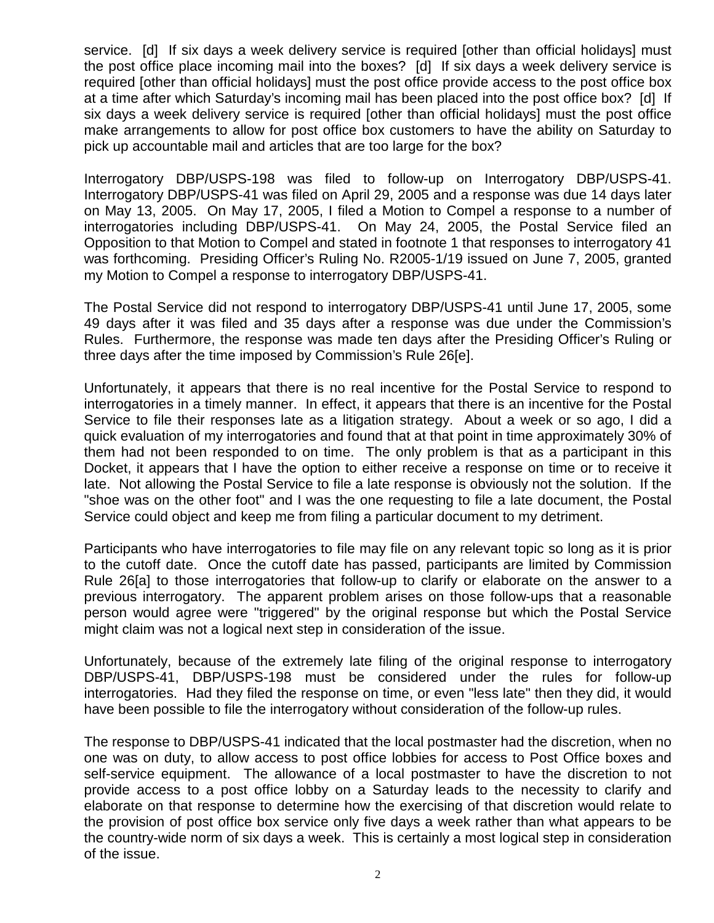service. [d] If six days a week delivery service is required [other than official holidays] must the post office place incoming mail into the boxes? [d] If six days a week delivery service is required [other than official holidays] must the post office provide access to the post office box at a time after which Saturday's incoming mail has been placed into the post office box? [d] If six days a week delivery service is required [other than official holidays] must the post office make arrangements to allow for post office box customers to have the ability on Saturday to pick up accountable mail and articles that are too large for the box?

Interrogatory DBP/USPS-198 was filed to follow-up on Interrogatory DBP/USPS-41. Interrogatory DBP/USPS-41 was filed on April 29, 2005 and a response was due 14 days later on May 13, 2005. On May 17, 2005, I filed a Motion to Compel a response to a number of interrogatories including DBP/USPS-41. On May 24, 2005, the Postal Service filed an Opposition to that Motion to Compel and stated in footnote 1 that responses to interrogatory 41 was forthcoming. Presiding Officer's Ruling No. R2005-1/19 issued on June 7, 2005, granted my Motion to Compel a response to interrogatory DBP/USPS-41.

The Postal Service did not respond to interrogatory DBP/USPS-41 until June 17, 2005, some 49 days after it was filed and 35 days after a response was due under the Commission's Rules. Furthermore, the response was made ten days after the Presiding Officer's Ruling or three days after the time imposed by Commission's Rule 26[e].

Unfortunately, it appears that there is no real incentive for the Postal Service to respond to interrogatories in a timely manner. In effect, it appears that there is an incentive for the Postal Service to file their responses late as a litigation strategy. About a week or so ago, I did a quick evaluation of my interrogatories and found that at that point in time approximately 30% of them had not been responded to on time. The only problem is that as a participant in this Docket, it appears that I have the option to either receive a response on time or to receive it late. Not allowing the Postal Service to file a late response is obviously not the solution. If the "shoe was on the other foot" and I was the one requesting to file a late document, the Postal Service could object and keep me from filing a particular document to my detriment.

Participants who have interrogatories to file may file on any relevant topic so long as it is prior to the cutoff date. Once the cutoff date has passed, participants are limited by Commission Rule 26[a] to those interrogatories that follow-up to clarify or elaborate on the answer to a previous interrogatory. The apparent problem arises on those follow-ups that a reasonable person would agree were "triggered" by the original response but which the Postal Service might claim was not a logical next step in consideration of the issue.

Unfortunately, because of the extremely late filing of the original response to interrogatory DBP/USPS-41, DBP/USPS-198 must be considered under the rules for follow-up interrogatories. Had they filed the response on time, or even "less late" then they did, it would have been possible to file the interrogatory without consideration of the follow-up rules.

The response to DBP/USPS-41 indicated that the local postmaster had the discretion, when no one was on duty, to allow access to post office lobbies for access to Post Office boxes and self-service equipment. The allowance of a local postmaster to have the discretion to not provide access to a post office lobby on a Saturday leads to the necessity to clarify and elaborate on that response to determine how the exercising of that discretion would relate to the provision of post office box service only five days a week rather than what appears to be the country-wide norm of six days a week. This is certainly a most logical step in consideration of the issue.